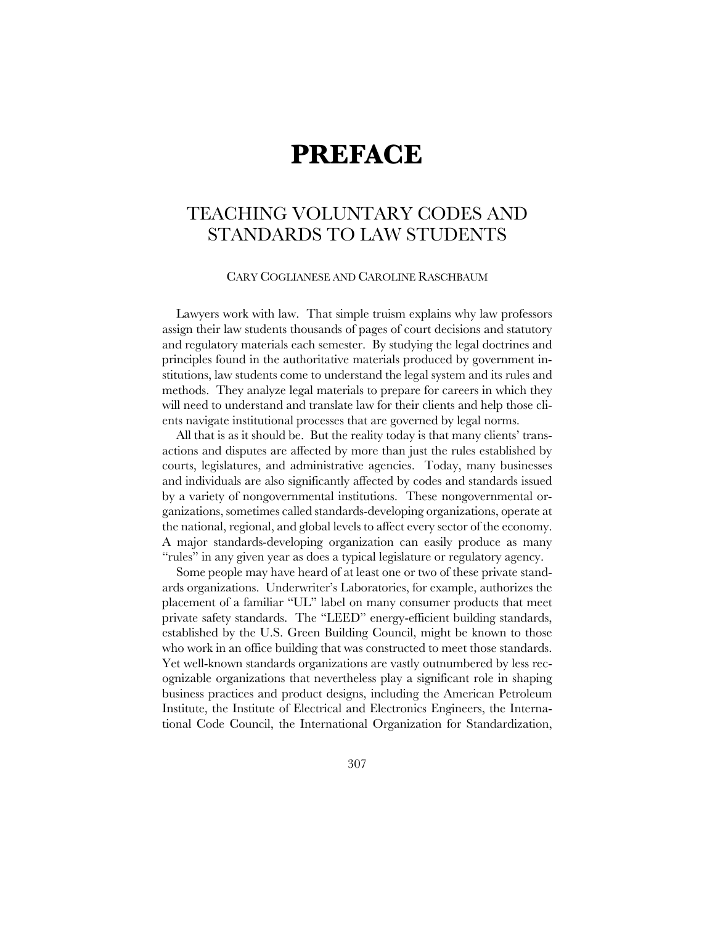## **PREFACE**

## TEACHING VOLUNTARY CODES AND STANDARDS TO LAW STUDENTS

## CARY COGLIANESE AND CAROLINE RASCHBAUM

Lawyers work with law. That simple truism explains why law professors assign their law students thousands of pages of court decisions and statutory and regulatory materials each semester. By studying the legal doctrines and principles found in the authoritative materials produced by government institutions, law students come to understand the legal system and its rules and methods. They analyze legal materials to prepare for careers in which they will need to understand and translate law for their clients and help those clients navigate institutional processes that are governed by legal norms.

All that is as it should be. But the reality today is that many clients' transactions and disputes are affected by more than just the rules established by courts, legislatures, and administrative agencies. Today, many businesses and individuals are also significantly affected by codes and standards issued by a variety of nongovernmental institutions. These nongovernmental organizations, sometimes called standards-developing organizations, operate at the national, regional, and global levels to affect every sector of the economy. A major standards-developing organization can easily produce as many "rules" in any given year as does a typical legislature or regulatory agency.

Some people may have heard of at least one or two of these private standards organizations. Underwriter's Laboratories, for example, authorizes the placement of a familiar "UL" label on many consumer products that meet private safety standards. The "LEED" energy-efficient building standards, established by the U.S. Green Building Council, might be known to those who work in an office building that was constructed to meet those standards. Yet well-known standards organizations are vastly outnumbered by less recognizable organizations that nevertheless play a significant role in shaping business practices and product designs, including the American Petroleum Institute, the Institute of Electrical and Electronics Engineers, the International Code Council, the International Organization for Standardization,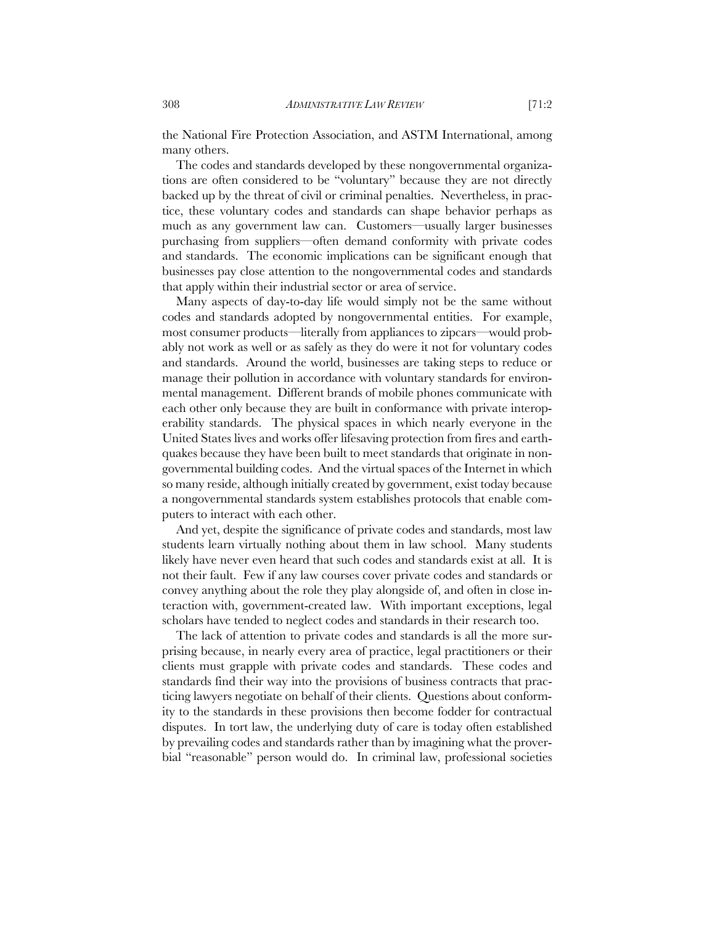the National Fire Protection Association, and ASTM International, among many others.

The codes and standards developed by these nongovernmental organizations are often considered to be "voluntary" because they are not directly backed up by the threat of civil or criminal penalties. Nevertheless, in practice, these voluntary codes and standards can shape behavior perhaps as much as any government law can. Customers—usually larger businesses purchasing from suppliers—often demand conformity with private codes and standards. The economic implications can be significant enough that businesses pay close attention to the nongovernmental codes and standards that apply within their industrial sector or area of service.

Many aspects of day-to-day life would simply not be the same without codes and standards adopted by nongovernmental entities. For example, most consumer products—literally from appliances to zipcars—would probably not work as well or as safely as they do were it not for voluntary codes and standards. Around the world, businesses are taking steps to reduce or manage their pollution in accordance with voluntary standards for environmental management. Different brands of mobile phones communicate with each other only because they are built in conformance with private interoperability standards. The physical spaces in which nearly everyone in the United States lives and works offer lifesaving protection from fires and earthquakes because they have been built to meet standards that originate in nongovernmental building codes. And the virtual spaces of the Internet in which so many reside, although initially created by government, exist today because a nongovernmental standards system establishes protocols that enable computers to interact with each other.

And yet, despite the significance of private codes and standards, most law students learn virtually nothing about them in law school. Many students likely have never even heard that such codes and standards exist at all. It is not their fault. Few if any law courses cover private codes and standards or convey anything about the role they play alongside of, and often in close interaction with, government-created law. With important exceptions, legal scholars have tended to neglect codes and standards in their research too.

The lack of attention to private codes and standards is all the more surprising because, in nearly every area of practice, legal practitioners or their clients must grapple with private codes and standards. These codes and standards find their way into the provisions of business contracts that practicing lawyers negotiate on behalf of their clients. Questions about conformity to the standards in these provisions then become fodder for contractual disputes. In tort law, the underlying duty of care is today often established by prevailing codes and standards rather than by imagining what the proverbial "reasonable" person would do. In criminal law, professional societies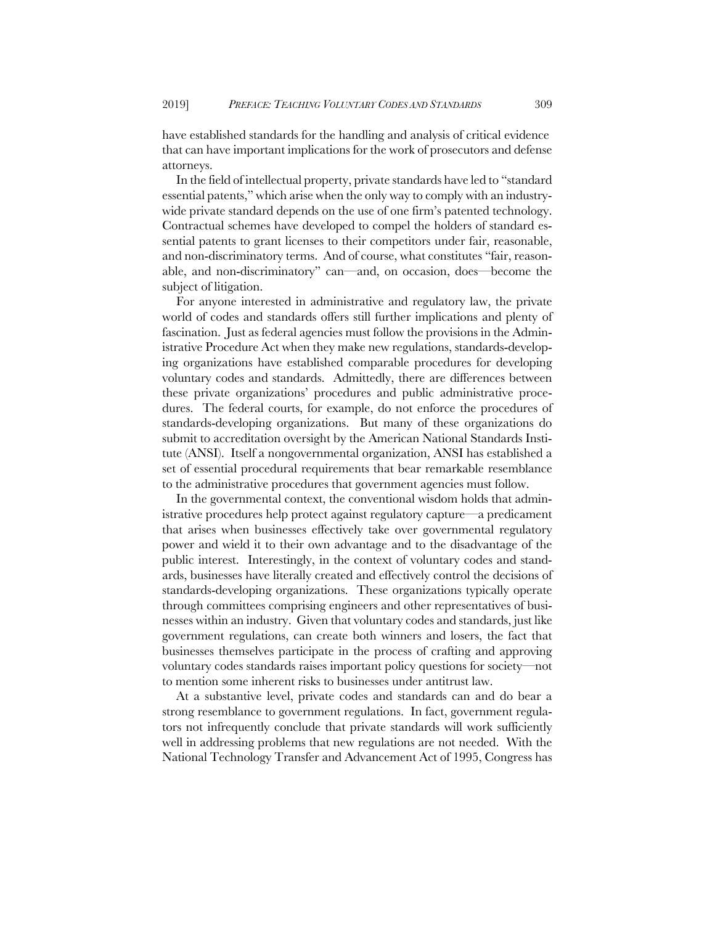have established standards for the handling and analysis of critical evidence that can have important implications for the work of prosecutors and defense attorneys.

In the field of intellectual property, private standards have led to "standard essential patents," which arise when the only way to comply with an industrywide private standard depends on the use of one firm's patented technology. Contractual schemes have developed to compel the holders of standard essential patents to grant licenses to their competitors under fair, reasonable, and non-discriminatory terms. And of course, what constitutes "fair, reasonable, and non-discriminatory" can—and, on occasion, does—become the subject of litigation.

For anyone interested in administrative and regulatory law, the private world of codes and standards offers still further implications and plenty of fascination. Just as federal agencies must follow the provisions in the Administrative Procedure Act when they make new regulations, standards-developing organizations have established comparable procedures for developing voluntary codes and standards. Admittedly, there are differences between these private organizations' procedures and public administrative procedures. The federal courts, for example, do not enforce the procedures of standards-developing organizations. But many of these organizations do submit to accreditation oversight by the American National Standards Institute (ANSI). Itself a nongovernmental organization, ANSI has established a set of essential procedural requirements that bear remarkable resemblance to the administrative procedures that government agencies must follow.

In the governmental context, the conventional wisdom holds that administrative procedures help protect against regulatory capture—a predicament that arises when businesses effectively take over governmental regulatory power and wield it to their own advantage and to the disadvantage of the public interest. Interestingly, in the context of voluntary codes and standards, businesses have literally created and effectively control the decisions of standards-developing organizations. These organizations typically operate through committees comprising engineers and other representatives of businesses within an industry. Given that voluntary codes and standards, just like government regulations, can create both winners and losers, the fact that businesses themselves participate in the process of crafting and approving voluntary codes standards raises important policy questions for society—not to mention some inherent risks to businesses under antitrust law.

At a substantive level, private codes and standards can and do bear a strong resemblance to government regulations. In fact, government regulators not infrequently conclude that private standards will work sufficiently well in addressing problems that new regulations are not needed. With the National Technology Transfer and Advancement Act of 1995, Congress has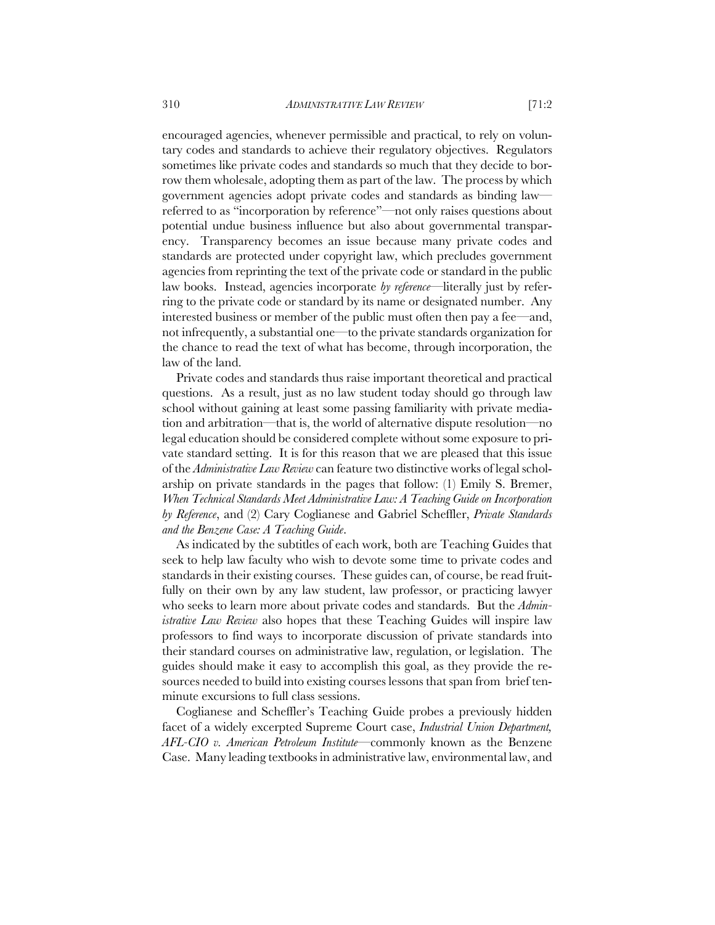encouraged agencies, whenever permissible and practical, to rely on voluntary codes and standards to achieve their regulatory objectives. Regulators sometimes like private codes and standards so much that they decide to borrow them wholesale, adopting them as part of the law. The process by which government agencies adopt private codes and standards as binding law referred to as "incorporation by reference"—not only raises questions about potential undue business influence but also about governmental transparency. Transparency becomes an issue because many private codes and standards are protected under copyright law, which precludes government agencies from reprinting the text of the private code or standard in the public law books. Instead, agencies incorporate *by reference*—literally just by referring to the private code or standard by its name or designated number. Any interested business or member of the public must often then pay a fee—and, not infrequently, a substantial one—to the private standards organization for the chance to read the text of what has become, through incorporation, the law of the land.

Private codes and standards thus raise important theoretical and practical questions. As a result, just as no law student today should go through law school without gaining at least some passing familiarity with private mediation and arbitration—that is, the world of alternative dispute resolution—no legal education should be considered complete without some exposure to private standard setting. It is for this reason that we are pleased that this issue of the *Administrative Law Review* can feature two distinctive works of legal scholarship on private standards in the pages that follow: (1) Emily S. Bremer, *When Technical Standards Meet Administrative Law: A Teaching Guide on Incorporation by Reference*, and (2) Cary Coglianese and Gabriel Scheffler, *Private Standards and the Benzene Case: A Teaching Guide*.

As indicated by the subtitles of each work, both are Teaching Guides that seek to help law faculty who wish to devote some time to private codes and standards in their existing courses. These guides can, of course, be read fruitfully on their own by any law student, law professor, or practicing lawyer who seeks to learn more about private codes and standards. But the *Administrative Law Review* also hopes that these Teaching Guides will inspire law professors to find ways to incorporate discussion of private standards into their standard courses on administrative law, regulation, or legislation. The guides should make it easy to accomplish this goal, as they provide the resources needed to build into existing courses lessons that span from brief tenminute excursions to full class sessions.

Coglianese and Scheffler's Teaching Guide probes a previously hidden facet of a widely excerpted Supreme Court case, *Industrial Union Department, AFL-CIO v. American Petroleum Institute*—commonly known as the Benzene Case. Many leading textbooks in administrative law, environmental law, and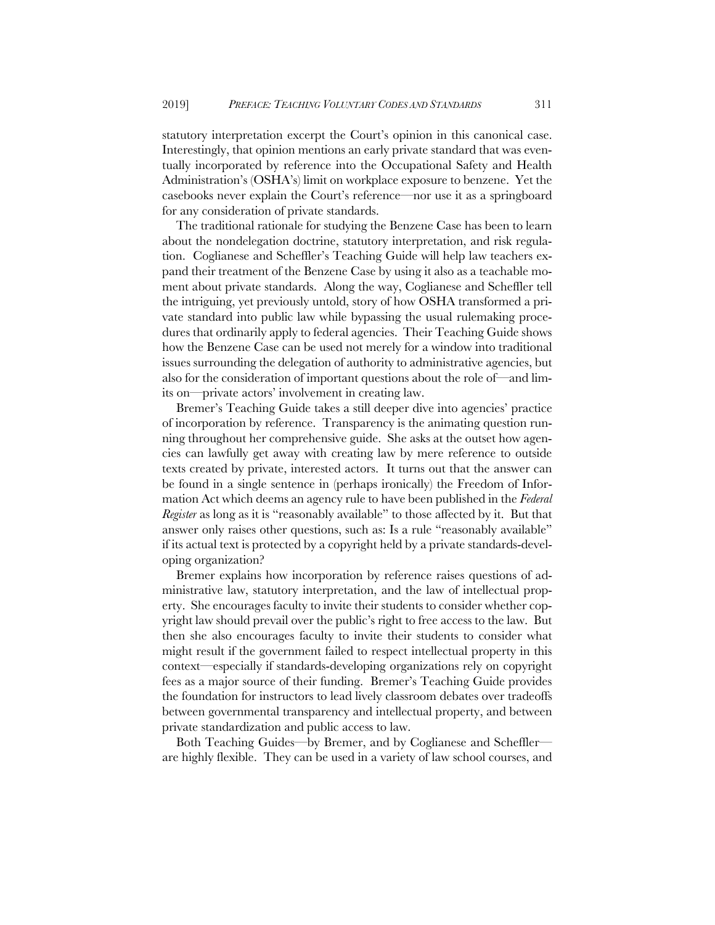statutory interpretation excerpt the Court's opinion in this canonical case. Interestingly, that opinion mentions an early private standard that was eventually incorporated by reference into the Occupational Safety and Health Administration's (OSHA's) limit on workplace exposure to benzene. Yet the casebooks never explain the Court's reference—nor use it as a springboard for any consideration of private standards.

The traditional rationale for studying the Benzene Case has been to learn about the nondelegation doctrine, statutory interpretation, and risk regulation. Coglianese and Scheffler's Teaching Guide will help law teachers expand their treatment of the Benzene Case by using it also as a teachable moment about private standards. Along the way, Coglianese and Scheffler tell the intriguing, yet previously untold, story of how OSHA transformed a private standard into public law while bypassing the usual rulemaking procedures that ordinarily apply to federal agencies. Their Teaching Guide shows how the Benzene Case can be used not merely for a window into traditional issues surrounding the delegation of authority to administrative agencies, but also for the consideration of important questions about the role of—and limits on—private actors' involvement in creating law.

Bremer's Teaching Guide takes a still deeper dive into agencies' practice of incorporation by reference. Transparency is the animating question running throughout her comprehensive guide. She asks at the outset how agencies can lawfully get away with creating law by mere reference to outside texts created by private, interested actors. It turns out that the answer can be found in a single sentence in (perhaps ironically) the Freedom of Information Act which deems an agency rule to have been published in the *Federal Register* as long as it is "reasonably available" to those affected by it. But that answer only raises other questions, such as: Is a rule "reasonably available" if its actual text is protected by a copyright held by a private standards-developing organization?

Bremer explains how incorporation by reference raises questions of administrative law, statutory interpretation, and the law of intellectual property. She encourages faculty to invite their students to consider whether copyright law should prevail over the public's right to free access to the law. But then she also encourages faculty to invite their students to consider what might result if the government failed to respect intellectual property in this context—especially if standards-developing organizations rely on copyright fees as a major source of their funding. Bremer's Teaching Guide provides the foundation for instructors to lead lively classroom debates over tradeoffs between governmental transparency and intellectual property, and between private standardization and public access to law.

Both Teaching Guides—by Bremer, and by Coglianese and Scheffler are highly flexible. They can be used in a variety of law school courses, and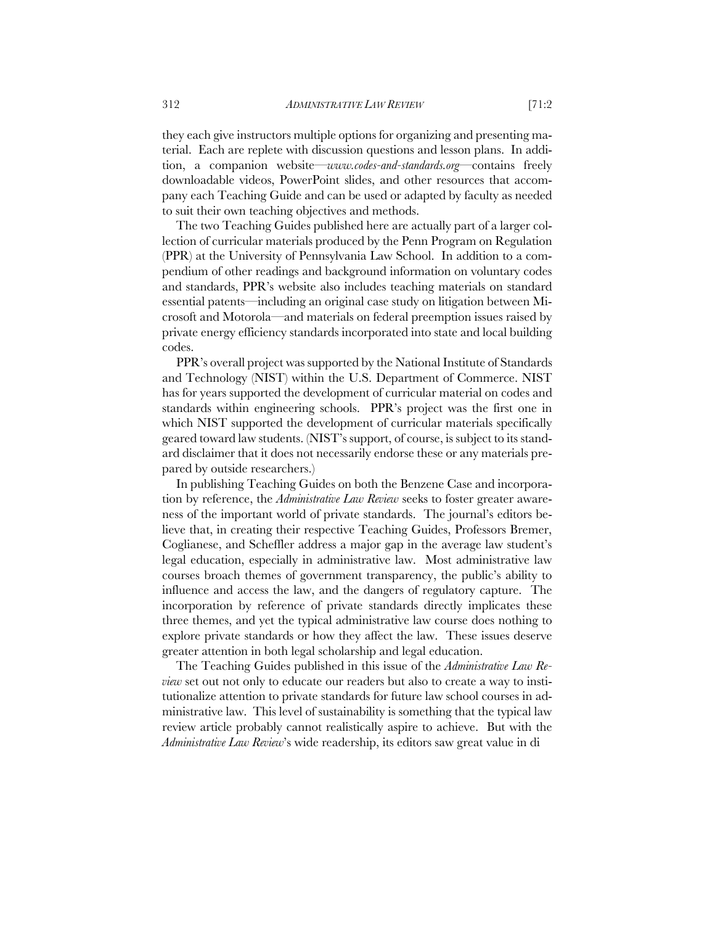they each give instructors multiple options for organizing and presenting material. Each are replete with discussion questions and lesson plans. In addition, a companion website—*www.codes-and-standards.org*—contains freely downloadable videos, PowerPoint slides, and other resources that accompany each Teaching Guide and can be used or adapted by faculty as needed to suit their own teaching objectives and methods.

The two Teaching Guides published here are actually part of a larger collection of curricular materials produced by the Penn Program on Regulation (PPR) at the University of Pennsylvania Law School. In addition to a compendium of other readings and background information on voluntary codes and standards, PPR's website also includes teaching materials on standard essential patents—including an original case study on litigation between Microsoft and Motorola—and materials on federal preemption issues raised by private energy efficiency standards incorporated into state and local building codes.

PPR's overall project was supported by the National Institute of Standards and Technology (NIST) within the U.S. Department of Commerce. NIST has for years supported the development of curricular material on codes and standards within engineering schools. PPR's project was the first one in which NIST supported the development of curricular materials specifically geared toward law students. (NIST's support, of course, is subject to its standard disclaimer that it does not necessarily endorse these or any materials prepared by outside researchers.)

In publishing Teaching Guides on both the Benzene Case and incorporation by reference, the *Administrative Law Review* seeks to foster greater awareness of the important world of private standards. The journal's editors believe that, in creating their respective Teaching Guides, Professors Bremer, Coglianese, and Scheffler address a major gap in the average law student's legal education, especially in administrative law. Most administrative law courses broach themes of government transparency, the public's ability to influence and access the law, and the dangers of regulatory capture. The incorporation by reference of private standards directly implicates these three themes, and yet the typical administrative law course does nothing to explore private standards or how they affect the law. These issues deserve greater attention in both legal scholarship and legal education.

The Teaching Guides published in this issue of the *Administrative Law Review* set out not only to educate our readers but also to create a way to institutionalize attention to private standards for future law school courses in administrative law. This level of sustainability is something that the typical law review article probably cannot realistically aspire to achieve. But with the *Administrative Law Review*'s wide readership, its editors saw great value in di